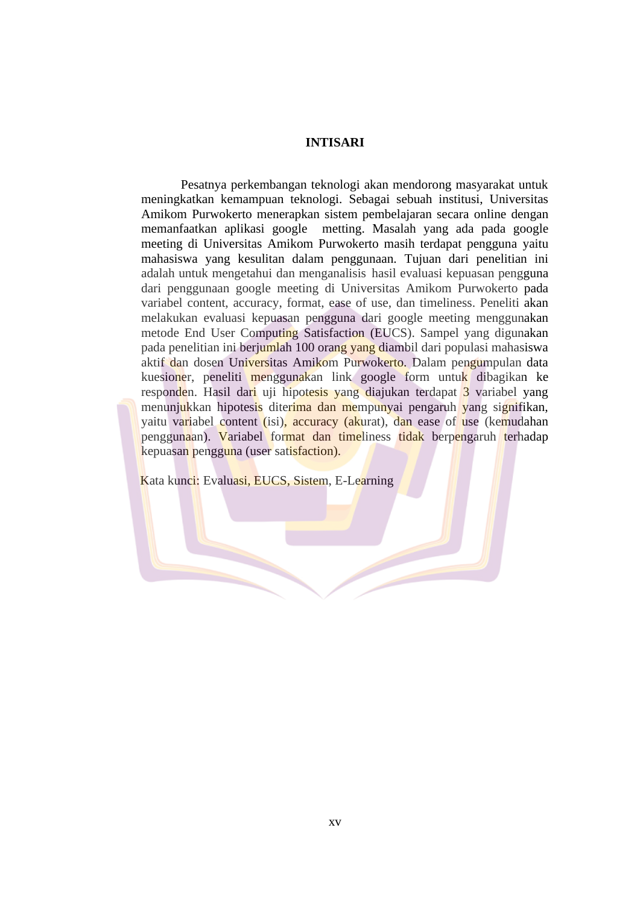## **INTISARI**

Pesatnya perkembangan teknologi akan mendorong masyarakat untuk meningkatkan kemampuan teknologi. Sebagai sebuah institusi, Universitas Amikom Purwokerto menerapkan sistem pembelajaran secara online dengan memanfaatkan aplikasi google metting. Masalah yang ada pada google meeting di Universitas Amikom Purwokerto masih terdapat pengguna yaitu mahasiswa yang kesulitan dalam penggunaan. Tujuan dari penelitian ini adalah untuk mengetahui dan menganalisis hasil evaluasi kepuasan pengguna dari penggunaan google meeting di Universitas Amikom Purwokerto pada variabel content, accuracy, format, ease of use, dan timeliness. Peneliti akan melakukan evaluasi kepuasan pengguna dari google meeting menggunakan metode End User Computing Satisfaction (EUCS). Sampel yang digunakan pada penelitian ini berjumlah 100 orang yang diambil dari populasi mahasiswa aktif dan dosen Universitas Amikom Purwokerto. Dalam pengumpulan data kuesioner, peneliti menggunakan link google form untuk dibagikan ke responden. Hasil dari uji hipotesis yang diajukan terdapat 3 variabel yang menunjukkan hipotesis diterima dan mempunyai pengaruh yang signifikan, yaitu variabel content (isi), accuracy (akurat), dan ease of use (kemudahan penggunaan). Variabel format dan timeliness tidak berpengaruh terhadap kepuasan pengguna (user satisfaction).

Kata kunci: Evaluasi, EUCS, Sistem, E-Learning